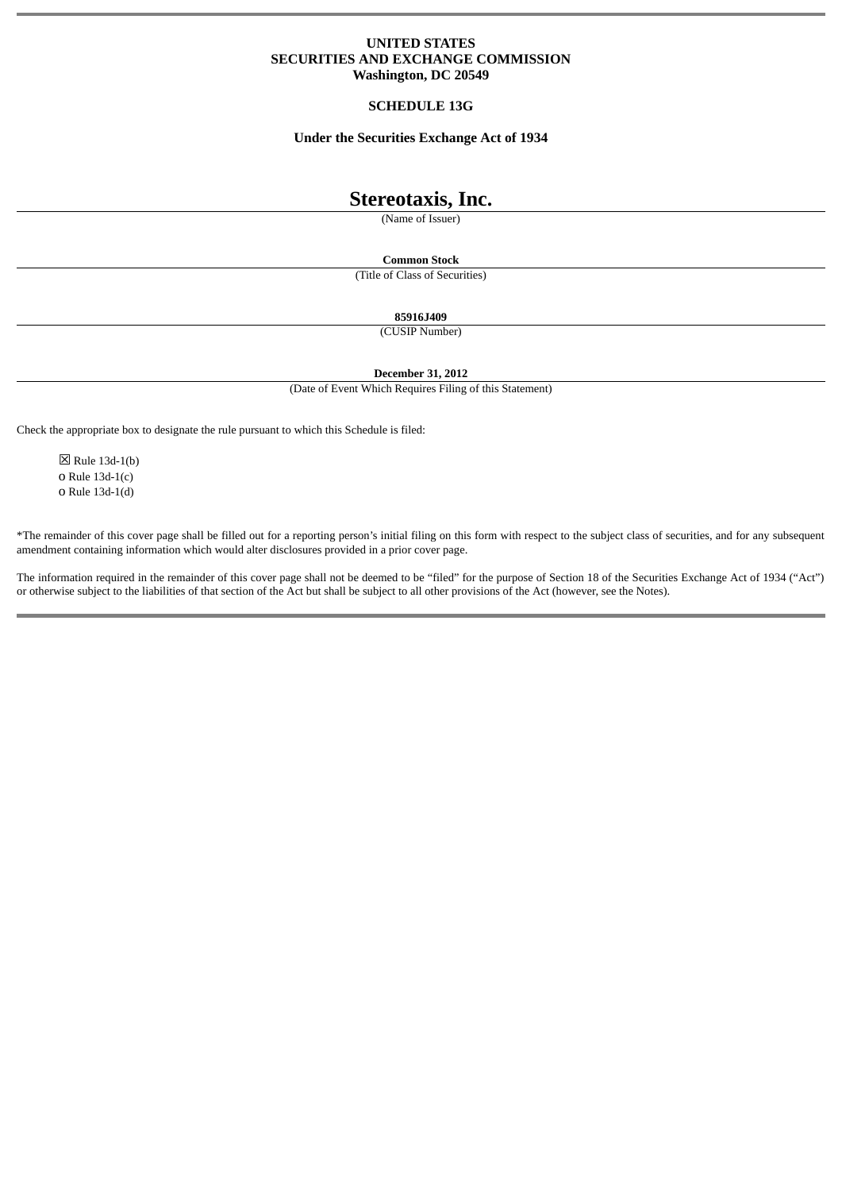## **UNITED STATES SECURITIES AND EXCHANGE COMMISSION Washington, DC 20549**

### **SCHEDULE 13G**

## **Under the Securities Exchange Act of 1934**

# **Stereotaxis, Inc.**

(Name of Issuer)

**Common Stock**

(Title of Class of Securities)

**85916J409**

(CUSIP Number)

**December 31, 2012**

(Date of Event Which Requires Filing of this Statement)

Check the appropriate box to designate the rule pursuant to which this Schedule is filed:

☒ Rule 13d-1(b) o Rule 13d-1(c) o Rule 13d-1(d)

\*The remainder of this cover page shall be filled out for a reporting person's initial filing on this form with respect to the subject class of securities, and for any subsequent amendment containing information which would alter disclosures provided in a prior cover page.

The information required in the remainder of this cover page shall not be deemed to be "filed" for the purpose of Section 18 of the Securities Exchange Act of 1934 ("Act") or otherwise subject to the liabilities of that section of the Act but shall be subject to all other provisions of the Act (however, see the Notes).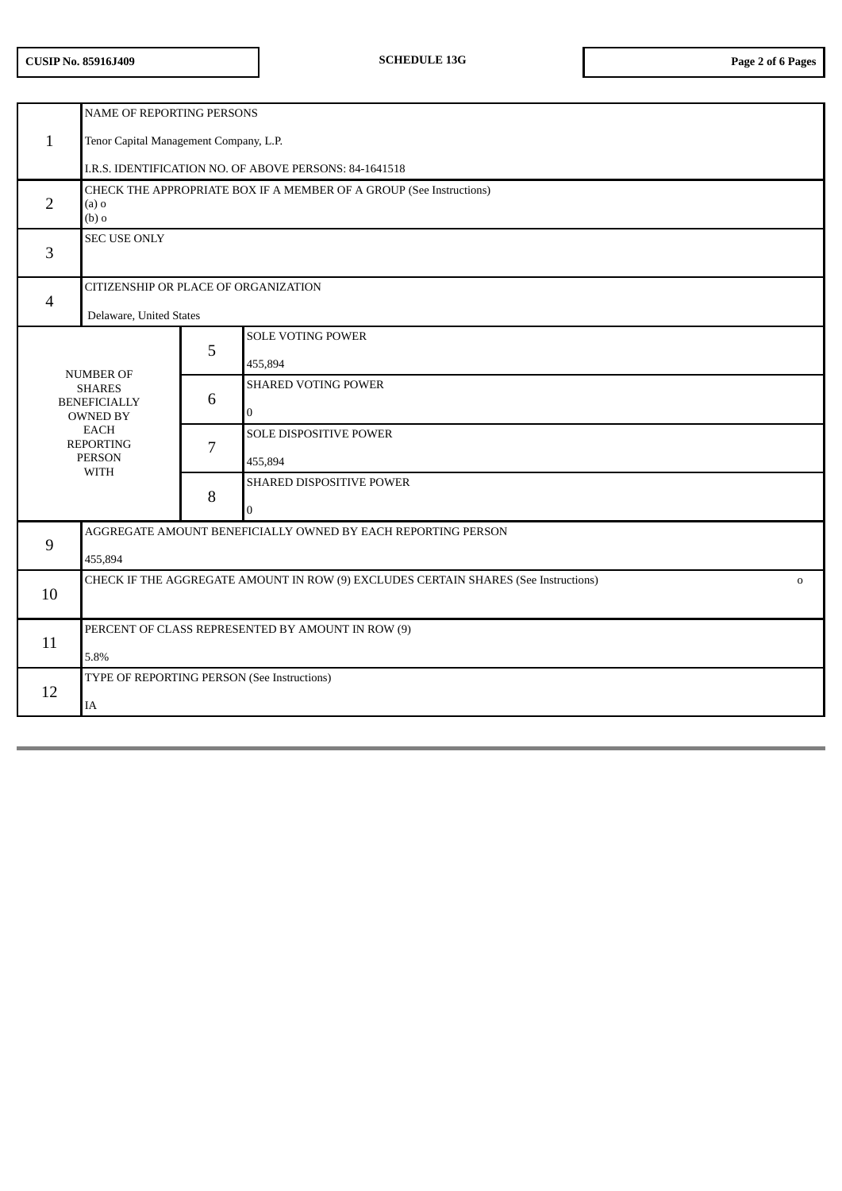## **CUSIP No. 85916J409 SCHEDULE 13G Page 2 of 6 Pages**

|                                                                                                                            | NAME OF REPORTING PERSONS                                                                          |   |                               |  |
|----------------------------------------------------------------------------------------------------------------------------|----------------------------------------------------------------------------------------------------|---|-------------------------------|--|
| $\mathbf{1}$                                                                                                               | Tenor Capital Management Company, L.P.                                                             |   |                               |  |
|                                                                                                                            | I.R.S. IDENTIFICATION NO. OF ABOVE PERSONS: 84-1641518                                             |   |                               |  |
| $\overline{2}$                                                                                                             | CHECK THE APPROPRIATE BOX IF A MEMBER OF A GROUP (See Instructions)<br>$(a)$ o<br>$(b)$ o          |   |                               |  |
| 3                                                                                                                          | <b>SEC USE ONLY</b>                                                                                |   |                               |  |
| $\overline{4}$                                                                                                             | CITIZENSHIP OR PLACE OF ORGANIZATION                                                               |   |                               |  |
|                                                                                                                            | Delaware, United States                                                                            |   |                               |  |
|                                                                                                                            |                                                                                                    | 5 | <b>SOLE VOTING POWER</b>      |  |
|                                                                                                                            | <b>NUMBER OF</b>                                                                                   |   | 455,894                       |  |
| <b>SHARES</b><br><b>BENEFICIALLY</b><br><b>OWNED BY</b><br><b>EACH</b><br><b>REPORTING</b><br><b>PERSON</b><br><b>WITH</b> |                                                                                                    | 6 | <b>SHARED VOTING POWER</b>    |  |
|                                                                                                                            |                                                                                                    |   | $\Omega$                      |  |
|                                                                                                                            |                                                                                                    | 7 | <b>SOLE DISPOSITIVE POWER</b> |  |
|                                                                                                                            |                                                                                                    |   | 455,894                       |  |
|                                                                                                                            |                                                                                                    | 8 | SHARED DISPOSITIVE POWER      |  |
|                                                                                                                            |                                                                                                    |   | $\Omega$                      |  |
| 9                                                                                                                          | AGGREGATE AMOUNT BENEFICIALLY OWNED BY EACH REPORTING PERSON                                       |   |                               |  |
|                                                                                                                            | 455,894                                                                                            |   |                               |  |
| 10                                                                                                                         | CHECK IF THE AGGREGATE AMOUNT IN ROW (9) EXCLUDES CERTAIN SHARES (See Instructions)<br>$\mathbf 0$ |   |                               |  |
|                                                                                                                            |                                                                                                    |   |                               |  |
| 11                                                                                                                         | PERCENT OF CLASS REPRESENTED BY AMOUNT IN ROW (9)                                                  |   |                               |  |
|                                                                                                                            | 5.8%                                                                                               |   |                               |  |
| 12                                                                                                                         | TYPE OF REPORTING PERSON (See Instructions)                                                        |   |                               |  |
|                                                                                                                            | IA                                                                                                 |   |                               |  |
|                                                                                                                            |                                                                                                    |   |                               |  |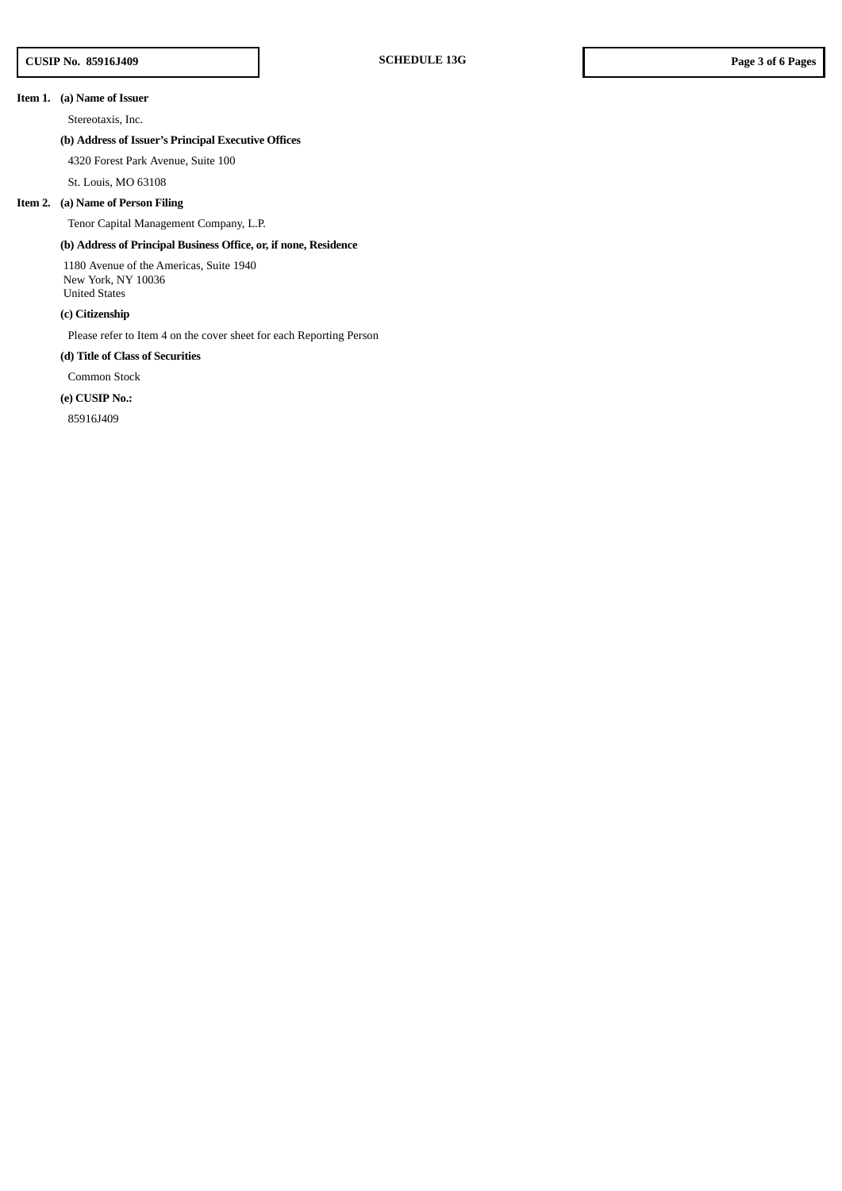### **Item 1. (a) Name of Issuer**

Stereotaxis, Inc.

## **(b) Address of Issuer's Principal Executive Offices**

4320 Forest Park Avenue, Suite 100

St. Louis, MO 63108

#### **Item 2. (a) Name of Person Filing**

Tenor Capital Management Company, L.P.

## **(b) Address of Principal Business Office, or, if none, Residence**

1180 Avenue of the Americas, Suite 1940 New York, NY 10036 United States

**(c) Citizenship**

Please refer to Item 4 on the cover sheet for each Reporting Person

#### **(d) Title of Class of Securities**

Common Stock

### **(e) CUSIP No.:**

85916J409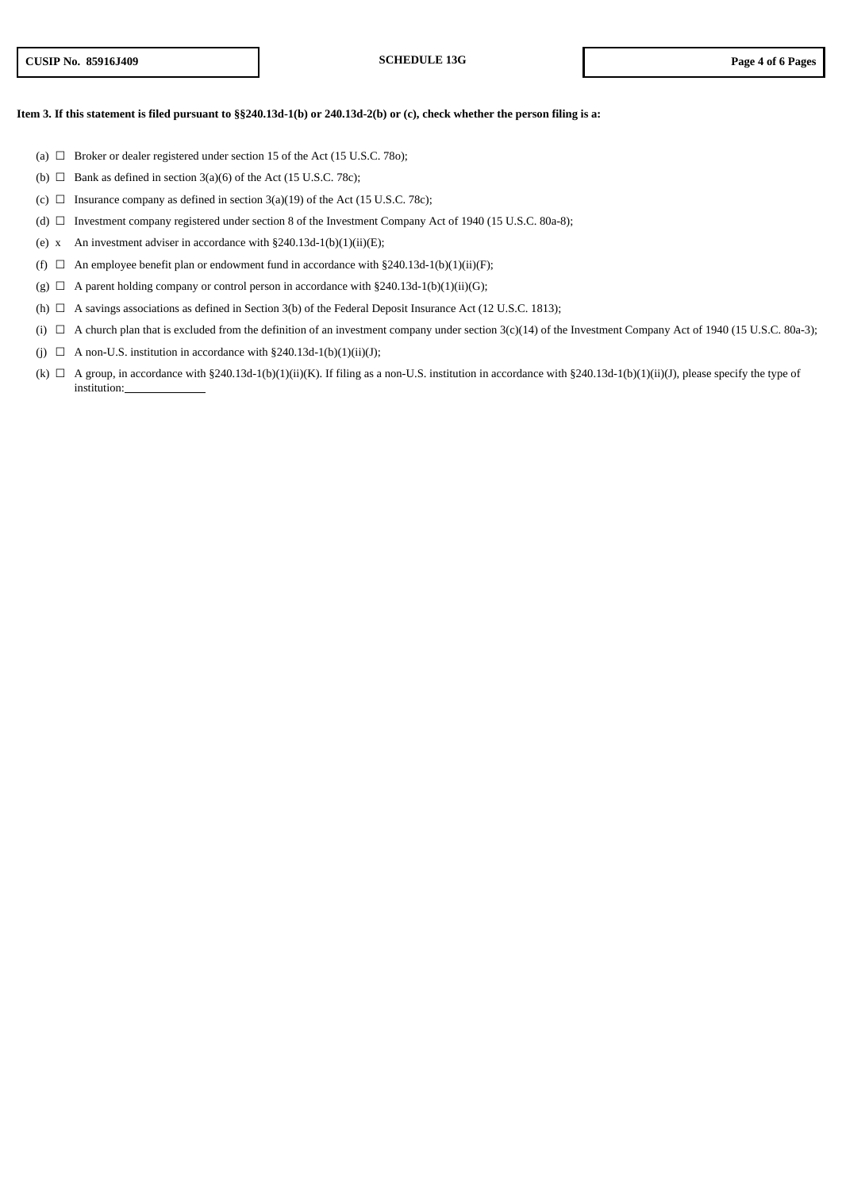#### Item 3. If this statement is filed pursuant to §§240.13d-1(b) or 240.13d-2(b) or (c), check whether the person filing is a:

- (a)  $\quad \Box \quad$  Broker or dealer registered under section 15 of the Act (15 U.S.C. 780);
- (b)  $\Box$  Bank as defined in section 3(a)(6) of the Act (15 U.S.C. 78c);
- (c)  $\Box$  Insurance company as defined in section 3(a)(19) of the Act (15 U.S.C. 78c);
- (d) ☐ Investment company registered under section 8 of the Investment Company Act of 1940 (15 U.S.C. 80a-8);
- (e) x An investment adviser in accordance with  $\S 240.13d-1(b)(1)(ii)(E)$ ;
- (f)  $\Box$  An employee benefit plan or endowment fund in accordance with §240.13d-1(b)(1)(ii)(F);
- (g)  $\Box$  A parent holding company or control person in accordance with §240.13d-1(b)(1)(ii)(G);
- (h)  $\Box$  A savings associations as defined in Section 3(b) of the Federal Deposit Insurance Act (12 U.S.C. 1813);
- (i) ☐ A church plan that is excluded from the definition of an investment company under section 3(c)(14) of the Investment Company Act of 1940 (15 U.S.C. 80a-3);
- (j)  $\Box$  A non-U.S. institution in accordance with §240.13d-1(b)(1)(ii)(J);
- (k)  $\Box$  A group, in accordance with §240.13d-1(b)(1)(ii)(K). If filing as a non-U.S. institution in accordance with §240.13d-1(b)(1)(ii)(J), please specify the type of institution: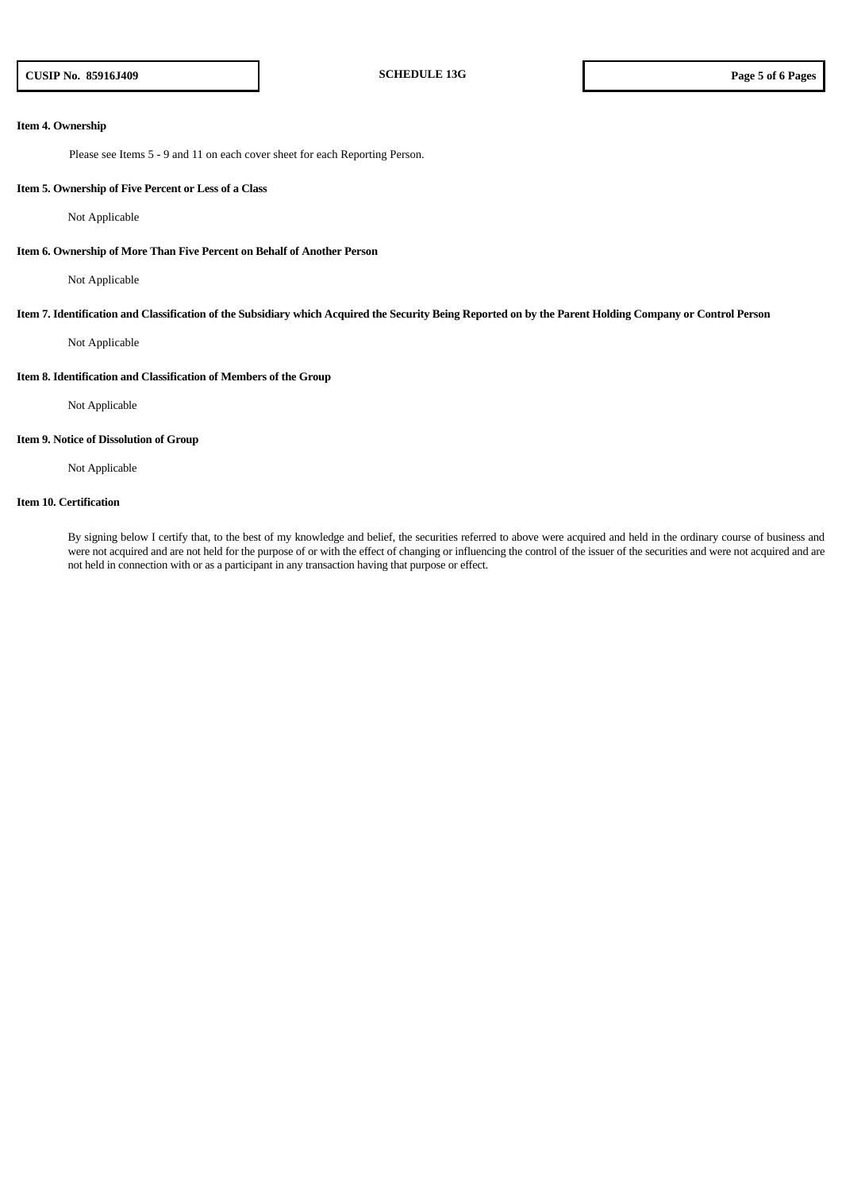#### **Item 4. Ownership**

Please see Items 5 - 9 and 11 on each cover sheet for each Reporting Person.

#### **Item 5. Ownership of Five Percent or Less of a Class**

Not Applicable

#### **Item 6. Ownership of More Than Five Percent on Behalf of Another Person**

Not Applicable

#### Item 7. Identification and Classification of the Subsidiary which Acquired the Security Being Reported on by the Parent Holding Company or Control Person

Not Applicable

#### **Item 8. Identification and Classification of Members of the Group**

Not Applicable

#### **Item 9. Notice of Dissolution of Group**

Not Applicable

#### **Item 10. Certification**

By signing below I certify that, to the best of my knowledge and belief, the securities referred to above were acquired and held in the ordinary course of business and were not acquired and are not held for the purpose of or with the effect of changing or influencing the control of the issuer of the securities and were not acquired and are not held in connection with or as a participant in any transaction having that purpose or effect.